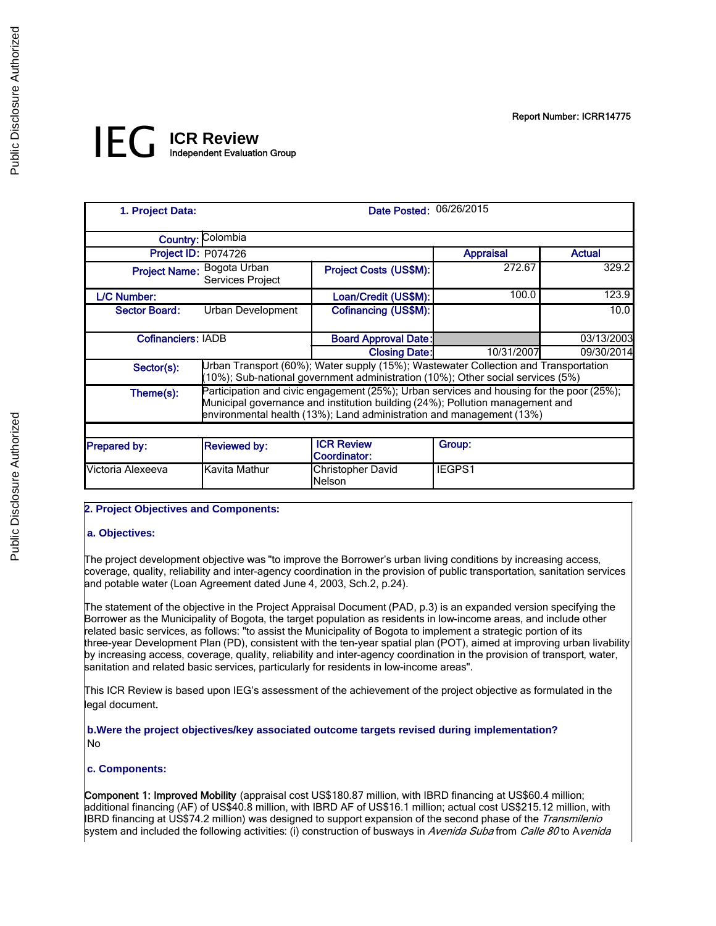# IEG **ICR Review** Independent Evaluation Group

| 1. Project Data:          |                                                                                                                                                                                                                                                   | Date Posted: 06/26/2015                  |                  |               |  |  |
|---------------------------|---------------------------------------------------------------------------------------------------------------------------------------------------------------------------------------------------------------------------------------------------|------------------------------------------|------------------|---------------|--|--|
|                           | <b>Country: Colombia</b>                                                                                                                                                                                                                          |                                          |                  |               |  |  |
| Project ID: P074726       |                                                                                                                                                                                                                                                   |                                          | <b>Appraisal</b> | <b>Actual</b> |  |  |
|                           | Project Name: Bogota Urban<br>Services Project                                                                                                                                                                                                    | Project Costs (US\$M):                   | 272.67           | 329.2         |  |  |
| L/C Number:               |                                                                                                                                                                                                                                                   | Loan/Credit (US\$M):                     | 100.0            | 123.9         |  |  |
| <b>Sector Board:</b>      | Urban Development                                                                                                                                                                                                                                 | Cofinancing (US\$M):                     |                  | 10.0          |  |  |
| <b>Cofinanciers: IADB</b> |                                                                                                                                                                                                                                                   | <b>Board Approval Date:</b>              |                  | 03/13/2003    |  |  |
|                           |                                                                                                                                                                                                                                                   | <b>Closing Date:</b>                     | 10/31/2007       | 09/30/2014    |  |  |
| Sector(s):                | Urban Transport (60%); Water supply (15%); Wastewater Collection and Transportation<br>(10%); Sub-national government administration (10%); Other social services (5%)                                                                            |                                          |                  |               |  |  |
| Theme(s):                 | Participation and civic engagement (25%); Urban services and housing for the poor (25%);<br>Municipal governance and institution building (24%); Pollution management and<br>environmental health (13%); Land administration and management (13%) |                                          |                  |               |  |  |
|                           |                                                                                                                                                                                                                                                   |                                          |                  |               |  |  |
| <b>Prepared by:</b>       | <b>Reviewed by:</b>                                                                                                                                                                                                                               | <b>ICR Review</b><br><b>Coordinator:</b> | Group:           |               |  |  |
| Victoria Alexeeva         | Kavita Mathur                                                                                                                                                                                                                                     | <b>Christopher David</b><br>Nelson       | <b>IEGPS1</b>    |               |  |  |

## **2. Project Objectives and Components:**

#### **a. Objectives:**

 $\overline{\phantom{a}}$ The project development objective was "to improve the Borrower's urban living conditions by increasing access, coverage, quality, reliability and inter-agency coordination in the provision of public transportation, sanitation services and potable water (Loan Agreement dated June 4, 2003, Sch.2, p.24).

The statement of the objective in the Project Appraisal Document (PAD, p.3) is an expanded version specifying the Borrower as the Municipality of Bogota, the target population as residents in low-income areas, and include other related basic services, as follows: "to assist the Municipality of Bogota to implement a strategic portion of its three-year Development Plan (PD), consistent with the ten-year spatial plan (POT), aimed at improving urban livability by increasing access, coverage, quality, reliability and inter-agency coordination in the provision of transport, water, sanitation and related basic services, particularly for residents in low-income areas".

This ICR Review is based upon IEG's assessment of the achievement of the project objective as formulated in the legal document.

 **b.Were the project objectives/key associated outcome targets revised during implementation?**  No

#### **c. Components:**

 $\overline{\phantom{a}}$ 

Component 1: Improved Mobility (appraisal cost US\$180.87 million, with IBRD financing at US\$60.4 million; additional financing (AF) of US\$40.8 million, with IBRD AF of US\$16.1 million; actual cost US\$215.12 million, with IBRD financing at US\$74.2 million) was designed to support expansion of the second phase of the Transmilenio system and included the following activities: (i) construction of busways in Avenida Suba from Calle 80 to Avenida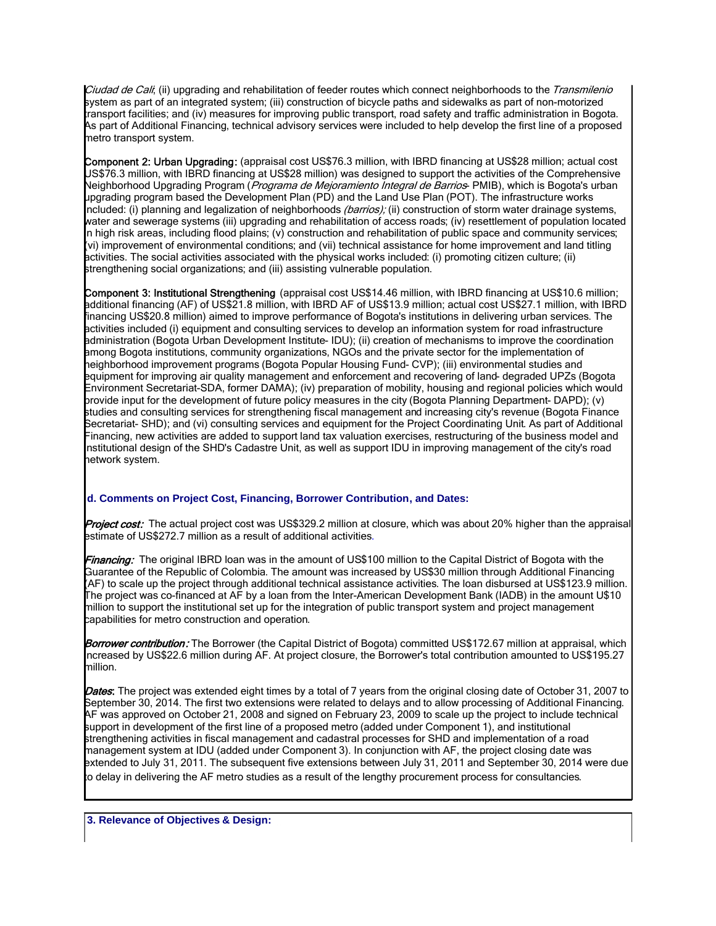Ciudad de Cali, (ii) upgrading and rehabilitation of feeder routes which connect neighborhoods to the Transmilenio system as part of an integrated system; (iii) construction of bicycle paths and sidewalks as part of non-motorized transport facilities; and (iv) measures for improving public transport, road safety and traffic administration in Bogota. As part of Additional Financing, technical advisory services were included to help develop the first line of a proposed metro transport system.

Component 2: Urban Upgrading: (appraisal cost US\$76.3 million, with IBRD financing at US\$28 million; actual cost US\$76.3 million, with IBRD financing at US\$28 million) was designed to support the activities of the Comprehensive Neighborhood Upgrading Program (*Programa de Mejoramiento Integral de Barrios*- PMIB), which is Bogota's urban upgrading program based the Development Plan (PD) and the Land Use Plan (POT). The infrastructure works included: (i) planning and legalization of neighborhoods *(barrios);* (ii) construction of storm water drainage systems, water and sewerage systems (iii) upgrading and rehabilitation of access roads; (iv) resettlement of population located in high risk areas, including flood plains; (v) construction and rehabilitation of public space and community services; (vi) improvement of environmental conditions; and (vii) technical assistance for home improvement and land titling activities. The social activities associated with the physical works included: (i) promoting citizen culture; (ii) strengthening social organizations; and (iii) assisting vulnerable population.

Component 3: Institutional Strengthening (appraisal cost US\$14.46 million, with IBRD financing at US\$10.6 million; additional financing (AF) of US\$21.8 million, with IBRD AF of US\$13.9 million; actual cost US\$27.1 million, with IBRD financing US\$20.8 million) aimed to improve performance of Bogota's institutions in delivering urban services. The activities included (i) equipment and consulting services to develop an information system for road infrastructure administration (Bogota Urban Development Institute- IDU); (ii) creation of mechanisms to improve the coordination among Bogota institutions, community organizations, NGOs and the private sector for the implementation of neighborhood improvement programs (Bogota Popular Housing Fund- CVP); (iii) environmental studies and equipment for improving air quality management and enforcement and recovering of land- degraded UPZs (Bogota Environment Secretariat-SDA, former DAMA); (iv) preparation of mobility, housing and regional policies which would provide input for the development of future policy measures in the city (Bogota Planning Department- DAPD); (v) studies and consulting services for strengthening fiscal management and increasing city's revenue (Bogota Finance Secretariat- SHD); and (vi) consulting services and equipment for the Project Coordinating Unit. As part of Additional Financing, new activities are added to support land tax valuation exercises, restructuring of the business model and institutional design of the SHD's Cadastre Unit, as well as support IDU in improving management of the city's road network system.

## **d. Comments on Project Cost, Financing, Borrower Contribution, and Dates:**

I Project cost: The actual project cost was US\$329.2 million at closure, which was about 20% higher than the appraisal estimate of US\$272.7 million as a result of additional activities.

Financing: The original IBRD loan was in the amount of US\$100 million to the Capital District of Bogota with the Guarantee of the Republic of Colombia. The amount was increased by US\$30 million through Additional Financing (AF) to scale up the project through additional technical assistance activities. The loan disbursed at US\$123.9 million. The project was co-financed at AF by a loan from the Inter-American Development Bank (IADB) in the amount U\$10 million to support the institutional set up for the integration of public transport system and project management capabilities for metro construction and operation.

Borrower contribution: The Borrower (the Capital District of Bogota) committed US\$172.67 million at appraisal, which increased by US\$22.6 million during AF. At project closure, the Borrower's total contribution amounted to US\$195.27 million.

Dates: The project was extended eight times by a total of 7 years from the original closing date of October 31, 2007 to September 30, 2014. The first two extensions were related to delays and to allow processing of Additional Financing. AF was approved on October 21, 2008 and signed on February 23, 2009 to scale up the project to include technical support in development of the first line of a proposed metro (added under Component 1), and institutional strengthening activities in fiscal management and cadastral processes for SHD and implementation of a road management system at IDU (added under Component 3). In conjunction with AF, the project closing date was extended to July 31, 2011. The subsequent five extensions between July 31, 2011 and September 30, 2014 were due to delay in delivering the AF metro studies as a result of the lengthy procurement process for consultancies.

 **3. Relevance of Objectives & Design:**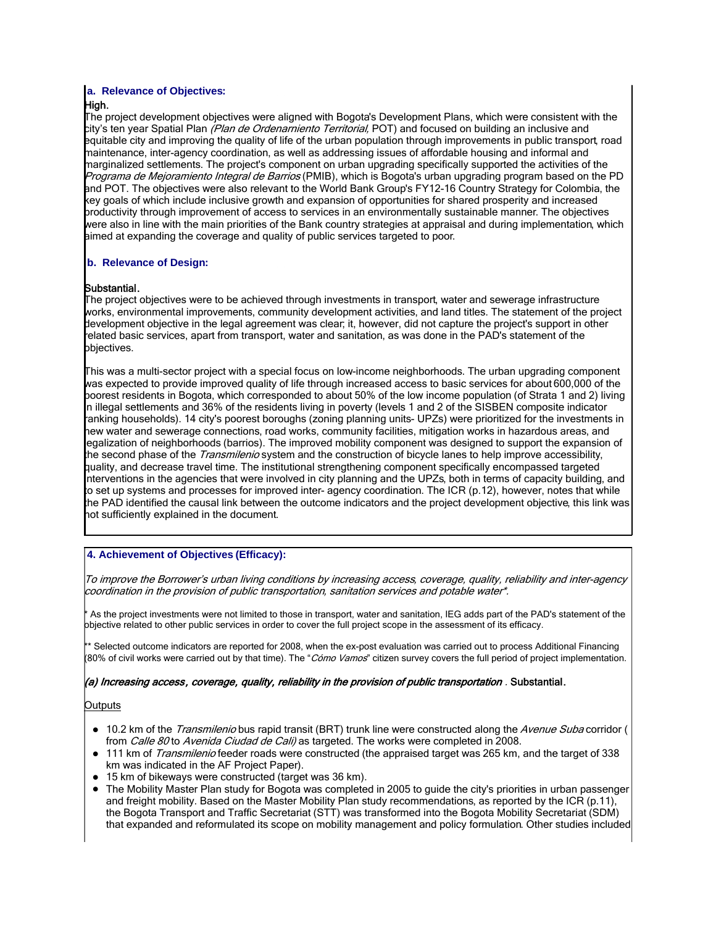## **a. Relevance of Objectives:**

## High.

The project development objectives were aligned with Bogota's Development Plans, which were consistent with the city's ten year Spatial Plan *(Plan de Ordenarniento Territorial,* POT) and focused on building an inclusive and equitable city and improving the quality of life of the urban population through improvements in public transport, road maintenance, inter-agency coordination, as well as addressing issues of affordable housing and informal and marginalized settlements. The project's component on urban upgrading specifically supported the activities of the Programa de Mejoramiento Integral de Barrios (PMIB), which is Bogota's urban upgrading program based on the PD and POT. The objectives were also relevant to the World Bank Group's FY12-16 Country Strategy for Colombia, the key goals of which include inclusive growth and expansion of opportunities for shared prosperity and increased productivity through improvement of access to services in an environmentally sustainable manner. The objectives were also in line with the main priorities of the Bank country strategies at appraisal and during implementation, which aimed at expanding the coverage and quality of public services targeted to poor.

## **b. Relevance of Design:**

## Substantial.

The project objectives were to be achieved through investments in transport, water and sewerage infrastructure works, environmental improvements, community development activities, and land titles. The statement of the project development objective in the legal agreement was clear; it, however, did not capture the project's support in other related basic services, apart from transport, water and sanitation, as was done in the PAD's statement of the objectives.

This was a multi-sector project with a special focus on low-income neighborhoods. The urban upgrading component was expected to provide improved quality of life through increased access to basic services for about 600,000 of the poorest residents in Bogota, which corresponded to about 50% of the low income population (of Strata 1 and 2) living in illegal settlements and 36% of the residents living in poverty (levels 1 and 2 of the SISBEN composite indicator ranking households). 14 city's poorest boroughs (zoning planning units- UPZs) were prioritized for the investments in new water and sewerage connections, road works, community facilities, mitigation works in hazardous areas, and legalization of neighborhoods (barrios). The improved mobility component was designed to support the expansion of the second phase of the *Transmilenio* system and the construction of bicycle lanes to help improve accessibility, quality, and decrease travel time. The institutional strengthening component specifically encompassed targeted interventions in the agencies that were involved in city planning and the UPZs, both in terms of capacity building, and to set up systems and processes for improved inter- agency coordination. The ICR (p.12), however, notes that while the PAD identified the causal link between the outcome indicators and the project development objective, this link was not sufficiently explained in the document.

## **4. Achievement of Objectives (Efficacy):**

To improve the Borrower's urban living conditions by increasing access, coverage, quality, reliability and inter-agency coordination in the provision of public transportation, sanitation services and potable water\*.

As the project investments were not limited to those in transport, water and sanitation, IEG adds part of the PAD's statement of the objective related to other public services in order to cover the full project scope in the assessment of its efficacy.

\*\* Selected outcome indicators are reported for 2008, when the ex-post evaluation was carried out to process Additional Financing (80% of civil works were carried out by that time). The "*Cómo Vamos*" citizen survey covers the full period of project implementation.

#### (a) Increasing access, coverage, quality, reliability in the provision of public transportation . Substantial.

#### Outputs

 $\overline{\phantom{a}}$ 

- 10.2 km of the *Transmilenio* bus rapid transit (BRT) trunk line were constructed along the Avenue Suba corridor ( from Calle 80 to Avenida Ciudad de Cali) as targeted. The works were completed in 2008.
- 111 km of Transmilenio feeder roads were constructed (the appraised target was 265 km, and the target of 338 km was indicated in the AF Project Paper).
- 15 km of bikeways were constructed (target was 36 km).
- The Mobility Master Plan study for Bogota was completed in 2005 to guide the city's priorities in urban passenger and freight mobility. Based on the Master Mobility Plan study recommendations, as reported by the ICR (p.11), the Bogota Transport and Traffic Secretariat (STT) was transformed into the Bogota Mobility Secretariat (SDM) that expanded and reformulated its scope on mobility management and policy formulation. Other studies included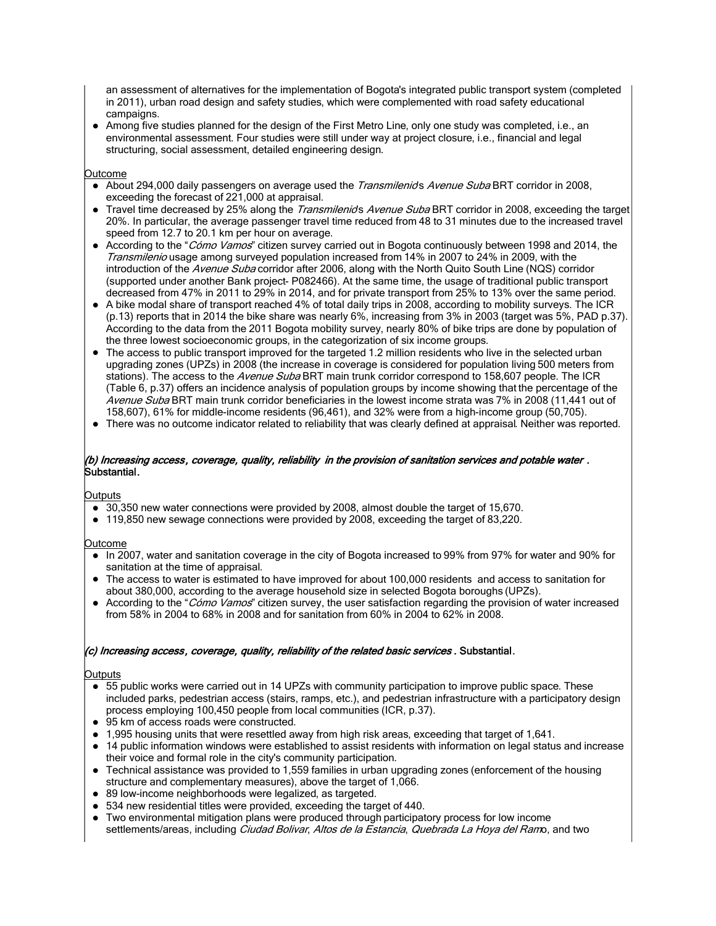an assessment of alternatives for the implementation of Bogota's integrated public transport system (completed in 2011), urban road design and safety studies, which were complemented with road safety educational campaigns.

 Among five studies planned for the design of the First Metro Line, only one study was completed, i.e., an environmental assessment. Four studies were still under way at project closure, i.e., financial and legal structuring, social assessment, detailed engineering design.

#### Outcome

- About 294,000 daily passengers on average used the *Transmilenids Avenue Suba* BRT corridor in 2008, exceeding the forecast of 221,000 at appraisal.
- Travel time decreased by 25% along the *Transmilenids Avenue Suba* BRT corridor in 2008, exceeding the target 20%. In particular, the average passenger travel time reduced from 48 to 31 minutes due to the increased travel speed from 12.7 to 20.1 km per hour on average.
- According to the "Cómo Vamos" citizen survey carried out in Bogota continuously between 1998 and 2014, the Transmilenio usage among surveyed population increased from 14% in 2007 to 24% in 2009, with the introduction of the Avenue Suba corridor after 2006, along with the North Quito South Line (NQS) corridor (supported under another Bank project- P082466). At the same time, the usage of traditional public transport decreased from 47% in 2011 to 29% in 2014, and for private transport from 25% to 13% over the same period.
- A bike modal share of transport reached 4% of total daily trips in 2008, according to mobility surveys. The ICR (p.13) reports that in 2014 the bike share was nearly 6%, increasing from 3% in 2003 (target was 5%, PAD p.37). According to the data from the 2011 Bogota mobility survey, nearly 80% of bike trips are done by population of the three lowest socioeconomic groups, in the categorization of six income groups.
- The access to public transport improved for the targeted 1.2 million residents who live in the selected urban upgrading zones (UPZs) in 2008 (the increase in coverage is considered for population living 500 meters from stations). The access to the Avenue Suba BRT main trunk corridor correspond to 158,607 people. The ICR (Table 6, p.37) offers an incidence analysis of population groups by income showing that the percentage of the Avenue Suba BRT main trunk corridor beneficiaries in the lowest income strata was 7% in 2008 (11,441 out of 158,607), 61% for middle-income residents (96,461), and 32% were from a high-income group (50,705).
- There was no outcome indicator related to reliability that was clearly defined at appraisal. Neither was reported.

#### (b) Increasing access, coverage, quality, reliability in the provision of sanitation services and potable water . Substantial.

#### Outputs

- $\bullet$  30,350 new water connections were provided by 2008, almost double the target of 15,670.
- 119,850 new sewage connections were provided by 2008, exceeding the target of 83,220.

#### Outcome

- In 2007, water and sanitation coverage in the city of Bogota increased to 99% from 97% for water and 90% for sanitation at the time of appraisal.
- The access to water is estimated to have improved for about 100,000 residents and access to sanitation for about 380,000, according to the average household size in selected Bogota boroughs (UPZs).
- According to the "Cómo Vamos" citizen survey, the user satisfaction regarding the provision of water increased from 58% in 2004 to 68% in 2008 and for sanitation from 60% in 2004 to 62% in 2008.

#### (c) Increasing access, coverage, quality, reliability of the related basic services . Substantial.

#### **Outputs**

- 55 public works were carried out in 14 UPZs with community participation to improve public space. These included parks, pedestrian access (stairs, ramps, etc.), and pedestrian infrastructure with a participatory design process employing 100,450 people from local communities (ICR, p.37).
- 95 km of access roads were constructed.
- 1,995 housing units that were resettled away from high risk areas, exceeding that target of 1,641.
- 14 public information windows were established to assist residents with information on legal status and increase their voice and formal role in the city's community participation.
- Technical assistance was provided to 1,559 families in urban upgrading zones (enforcement of the housing structure and complementary measures), above the target of 1,066.
- 89 low-income neighborhoods were legalized, as targeted.
- 534 new residential titles were provided, exceeding the target of 440.
- Two environmental mitigation plans were produced through participatory process for low income settlements/areas, including Ciudad Bolivar, Altos de la Estancia, Quebrada La Hoya del Ramo, and two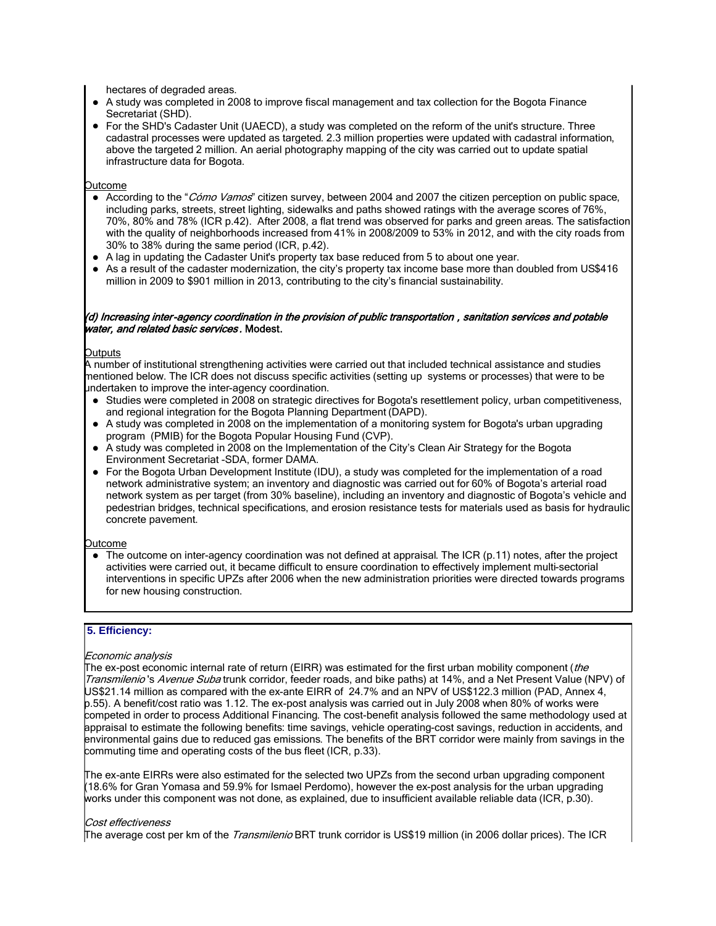hectares of degraded areas.

- A study was completed in 2008 to improve fiscal management and tax collection for the Bogota Finance Secretariat (SHD).
- For the SHD's Cadaster Unit (UAECD), a study was completed on the reform of the unit's structure. Three cadastral processes were updated as targeted. 2.3 million properties were updated with cadastral information, above the targeted 2 million. An aerial photography mapping of the city was carried out to update spatial infrastructure data for Bogota.

Outcome

- According to the "Cómo Vamos" citizen survey, between 2004 and 2007 the citizen perception on public space, including parks, streets, street lighting, sidewalks and paths showed ratings with the average scores of 76%, 70%, 80% and 78% (ICR p.42). After 2008, a flat trend was observed for parks and green areas. The satisfaction with the quality of neighborhoods increased from 41% in 2008/2009 to 53% in 2012, and with the city roads from 30% to 38% during the same period (ICR, p.42).
- A lag in updating the Cadaster Unit's property tax base reduced from 5 to about one year.
- As a result of the cadaster modernization, the city's property tax income base more than doubled from US\$416 million in 2009 to \$901 million in 2013, contributing to the city's financial sustainability.

#### (d) Increasing inter-agency coordination in the provision of public transportation , sanitation services and potable water, and related basic services. Modest.

#### Outputs

A number of institutional strengthening activities were carried out that included technical assistance and studies mentioned below. The ICR does not discuss specific activities (setting up systems or processes) that were to be undertaken to improve the inter-agency coordination.

- Studies were completed in 2008 on strategic directives for Bogota's resettlement policy, urban competitiveness, and regional integration for the Bogota Planning Department (DAPD).
- A study was completed in 2008 on the implementation of a monitoring system for Bogota's urban upgrading program (PMIB) for the Bogota Popular Housing Fund (CVP).
- A study was completed in 2008 on the Implementation of the City's Clean Air Strategy for the Bogota Environment Secretariat -SDA, former DAMA.
- For the Bogota Urban Development Institute (IDU), a study was completed for the implementation of a road network administrative system; an inventory and diagnostic was carried out for 60% of Bogota's arterial road network system as per target (from 30% baseline), including an inventory and diagnostic of Bogota's vehicle and pedestrian bridges, technical specifications, and erosion resistance tests for materials used as basis for hydraulic concrete pavement.

#### Outcome

• The outcome on inter-agency coordination was not defined at appraisal. The ICR (p.11) notes, after the project activities were carried out, it became difficult to ensure coordination to effectively implement multi-sectorial interventions in specific UPZs after 2006 when the new administration priorities were directed towards programs for new housing construction.

## **5. Efficiency:**

#### $\overline{\phantom{a}}$ Economic analysis

The ex-post economic internal rate of return (EIRR) was estimated for the first urban mobility component (the Transmilenio's Avenue Suba trunk corridor, feeder roads, and bike paths) at 14%, and a Net Present Value (NPV) of US\$21.14 million as compared with the ex-ante EIRR of 24.7% and an NPV of US\$122.3 million (PAD, Annex 4, p.55). A benefit/cost ratio was 1.12. The ex-post analysis was carried out in July 2008 when 80% of works were competed in order to process Additional Financing. The cost-benefit analysis followed the same methodology used at appraisal to estimate the following benefits: time savings, vehicle operating-cost savings, reduction in accidents, and environmental gains due to reduced gas emissions. The benefits of the BRT corridor were mainly from savings in the commuting time and operating costs of the bus fleet (ICR, p.33).

The ex-ante EIRRs were also estimated for the selected two UPZs from the second urban upgrading component (18.6% for Gran Yomasa and 59.9% for Ismael Perdomo), however the ex-post analysis for the urban upgrading works under this component was not done, as explained, due to insufficient available reliable data (ICR, p.30).

#### Cost effectiveness

The average cost per km of the *Transmilenio* BRT trunk corridor is US\$19 million (in 2006 dollar prices). The ICR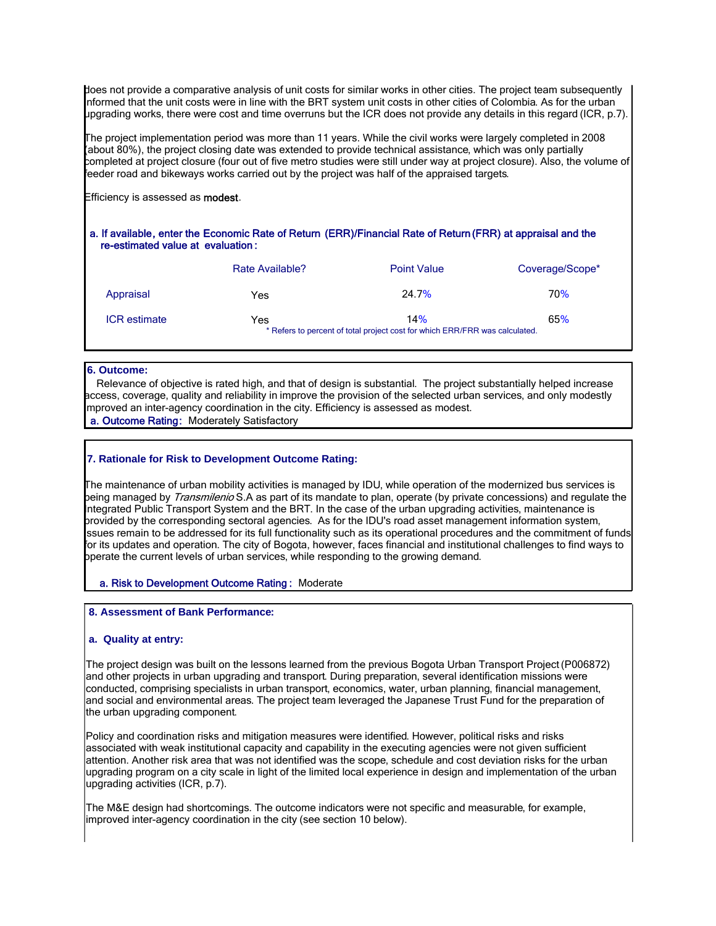does not provide a comparative analysis of unit costs for similar works in other cities. The project team subsequently informed that the unit costs were in line with the BRT system unit costs in other cities of Colombia. As for the urban upgrading works, there were cost and time overruns but the ICR does not provide any details in this regard (ICR, p.7).

The project implementation period was more than 11 years. While the civil works were largely completed in 2008 (about 80%), the project closing date was extended to provide technical assistance, which was only partially completed at project closure (four out of five metro studies were still under way at project closure). Also, the volume of feeder road and bikeways works carried out by the project was half of the appraised targets.

Efficiency is assessed as **modest**.

#### a. If available, enter the Economic Rate of Return (ERR)/Financial Rate of Return (FRR) at appraisal and the re-estimated value at evaluation :

|                     | Rate Available? | <b>Point Value</b>                                                                 | Coverage/Scope* |
|---------------------|-----------------|------------------------------------------------------------------------------------|-----------------|
| Appraisal           | Yes             | 24.7%                                                                              | 70 <sup>%</sup> |
| <b>ICR</b> estimate | Yes             | 14%<br>* Refers to percent of total project cost for which ERR/FRR was calculated. | 65%             |

#### **6. Outcome:**

 Relevance of objective is rated high, and that of design is substantial. The project substantially helped increase access, coverage, quality and reliability in improve the provision of the selected urban services, and only modestly mproved an inter-agency coordination in the city. Efficiency is assessed as modest.

## a. Outcome Rating: Moderately Satisfactory

### **7. Rationale for Risk to Development Outcome Rating:**

I The maintenance of urban mobility activities is managed by IDU, while operation of the modernized bus services is being managed by *Transmilenio* S.A as part of its mandate to plan, operate (by private concessions) and regulate the Integrated Public Transport System and the BRT. In the case of the urban upgrading activities, maintenance is provided by the corresponding sectoral agencies. As for the IDU's road asset management information system, issues remain to be addressed for its full functionality such as its operational procedures and the commitment of funds for its updates and operation. The city of Bogota, however, faces financial and institutional challenges to find ways to operate the current levels of urban services, while responding to the growing demand.

#### a. Risk to Development Outcome Rating : Moderate

#### **8. Assessment of Bank Performance:**

#### **a. Quality at entry:**

I

The project design was built on the lessons learned from the previous Bogota Urban Transport Project (P006872) and other projects in urban upgrading and transport. During preparation, several identification missions were conducted, comprising specialists in urban transport, economics, water, urban planning, financial management, and social and environmental areas. The project team leveraged the Japanese Trust Fund for the preparation of the urban upgrading component.

Policy and coordination risks and mitigation measures were identified. However, political risks and risks associated with weak institutional capacity and capability in the executing agencies were not given sufficient attention. Another risk area that was not identified was the scope, schedule and cost deviation risks for the urban upgrading program on a city scale in light of the limited local experience in design and implementation of the urban upgrading activities (ICR, p.7).

The M&E design had shortcomings. The outcome indicators were not specific and measurable, for example, improved inter-agency coordination in the city (see section 10 below).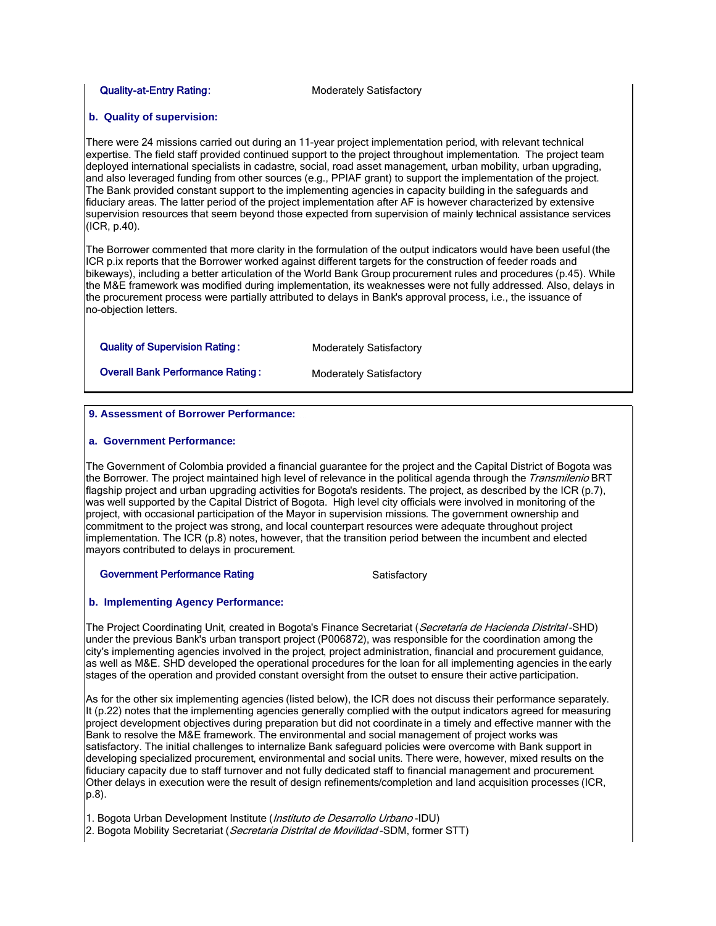#### Quality-at-Entry Rating: Moderately Satisfactory

#### **b. Quality of supervision:**

There were 24 missions carried out during an 11-year project implementation period, with relevant technical expertise. The field staff provided continued support to the project throughout implementation. The project team deployed international specialists in cadastre, social, road asset management, urban mobility, urban upgrading, and also leveraged funding from other sources (e.g., PPIAF grant) to support the implementation of the project. The Bank provided constant support to the implementing agencies in capacity building in the safeguards and fiduciary areas. The latter period of the project implementation after AF is however characterized by extensive supervision resources that seem beyond those expected from supervision of mainly technical assistance services (ICR, p.40).

The Borrower commented that more clarity in the formulation of the output indicators would have been useful (the ICR p.ix reports that the Borrower worked against different targets for the construction of feeder roads and bikeways), including a better articulation of the World Bank Group procurement rules and procedures (p.45). While the M&E framework was modified during implementation, its weaknesses were not fully addressed. Also, delays in the procurement process were partially attributed to delays in Bank's approval process, i.e., the issuance of no-objection letters.

#### Quality of Supervision Rating: Moderately Satisfactory

**Overall Bank Performance Rating : Moderately Satisfactory** 

#### **9. Assessment of Borrower Performance:**

#### **a. Government Performance:**

The Government of Colombia provided a financial guarantee for the project and the Capital District of Bogota was the Borrower. The project maintained high level of relevance in the political agenda through the *Transmilenio* BRT flagship project and urban upgrading activities for Bogota's residents. The project, as described by the ICR (p.7), was well supported by the Capital District of Bogota. High level city officials were involved in monitoring of the project, with occasional participation of the Mayor in supervision missions. The government ownership and commitment to the project was strong, and local counterpart resources were adequate throughout project implementation. The ICR (p.8) notes, however, that the transition period between the incumbent and elected mayors contributed to delays in procurement.

Government Performance Rating **Satisfactory** Satisfactory

#### **b. Implementing Agency Performance:**

The Project Coordinating Unit, created in Bogota's Finance Secretariat (*Secretaría de Hacienda Distrital* -SHD) under the previous Bank's urban transport project (P006872), was responsible for the coordination among the city's implementing agencies involved in the project, project administration, financial and procurement guidance, as well as M&E. SHD developed the operational procedures for the loan for all implementing agencies in the early stages of the operation and provided constant oversight from the outset to ensure their active participation.

As for the other six implementing agencies (listed below), the ICR does not discuss their performance separately. It (p.22) notes that the implementing agencies generally complied with the output indicators agreed for measuring project development objectives during preparation but did not coordinate in a timely and effective manner with the Bank to resolve the M&E framework. The environmental and social management of project works was satisfactory. The initial challenges to internalize Bank safeguard policies were overcome with Bank support in developing specialized procurement, environmental and social units. There were, however, mixed results on the fiduciary capacity due to staff turnover and not fully dedicated staff to financial management and procurement. Other delays in execution were the result of design refinements/completion and land acquisition processes (ICR, p.8).

1. Bogota Urban Development Institute (*Instituto de Desarrollo Urbano* -IDU)

2. Bogota Mobility Secretariat (Secretaria Distrital de Movilidad-SDM, former STT)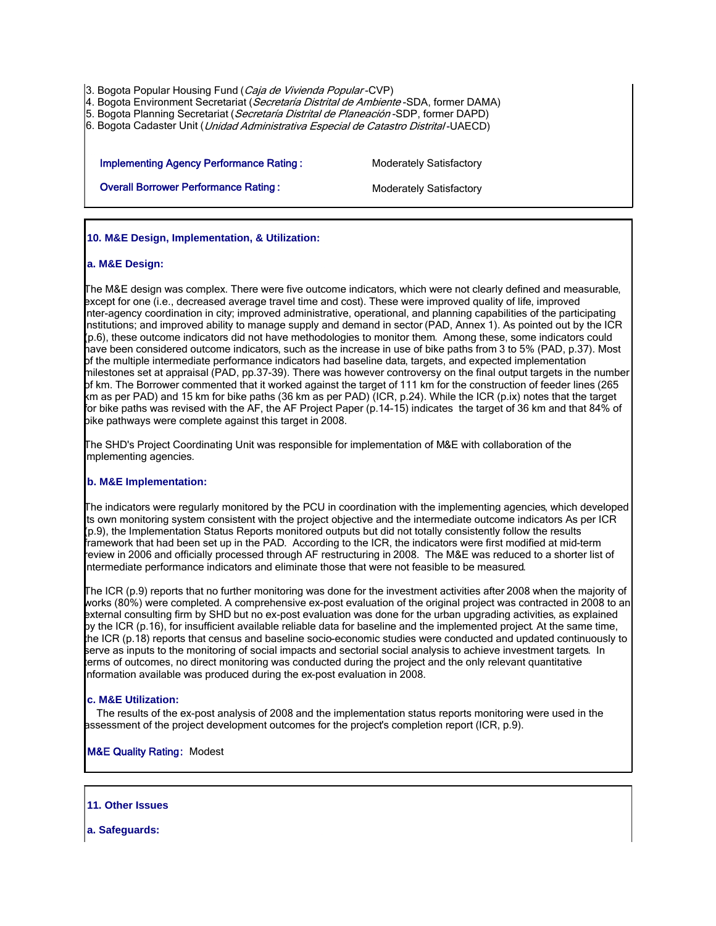3. Bogota Popular Housing Fund (Caja de Vivienda Popular-CVP)

4. Bogota Environment Secretariat (Secretaría Distrital de Ambiente-SDA, former DAMA)

5. Bogota Planning Secretariat (Secretaría Distrital de Planeación-SDP, former DAPD)

6. Bogota Cadaster Unit (*Unidad Administrativa Especial de Catastro Distrital* -UAECD)

Implementing Agency Performance Rating : Moderately Satisfactory

**Overall Borrower Performance Rating : <br>Moderately Satisfactory** 

 **10. M&E Design, Implementation, & Utilization:**

#### **a. M&E Design:**

I The M&E design was complex. There were five outcome indicators, which were not clearly defined and measurable, except for one (i.e., decreased average travel time and cost). These were improved quality of life, improved inter-agency coordination in city; improved administrative, operational, and planning capabilities of the participating institutions; and improved ability to manage supply and demand in sector (PAD, Annex 1). As pointed out by the ICR (p.6), these outcome indicators did not have methodologies to monitor them. Among these, some indicators could have been considered outcome indicators, such as the increase in use of bike paths from 3 to 5% (PAD, p.37). Most of the multiple intermediate performance indicators had baseline data, targets, and expected implementation milestones set at appraisal (PAD, pp.37-39). There was however controversy on the final output targets in the number of km. The Borrower commented that it worked against the target of 111 km for the construction of feeder lines (265 km as per PAD) and 15 km for bike paths (36 km as per PAD) (ICR, p.24). While the ICR (p.ix) notes that the target for bike paths was revised with the AF, the AF Project Paper (p.14-15) indicates the target of 36 km and that 84% of bike pathways were complete against this target in 2008.

The SHD's Project Coordinating Unit was responsible for implementation of M&E with collaboration of the implementing agencies.

#### **b. M&E Implementation:**

I The indicators were regularly monitored by the PCU in coordination with the implementing agencies, which developed ts own monitoring system consistent with the project objective and the intermediate outcome indicators As per ICR (p.9), the Implementation Status Reports monitored outputs but did not totally consistently follow the results framework that had been set up in the PAD. According to the ICR, the indicators were first modified at mid-term review in 2006 and officially processed through AF restructuring in 2008. The M&E was reduced to a shorter list of intermediate performance indicators and eliminate those that were not feasible to be measured.

The ICR (p.9) reports that no further monitoring was done for the investment activities after 2008 when the majority of works (80%) were completed. A comprehensive ex-post evaluation of the original project was contracted in 2008 to an external consulting firm by SHD but no ex-post evaluation was done for the urban upgrading activities, as explained by the ICR (p.16), for insufficient available reliable data for baseline and the implemented project. At the same time, the ICR (p.18) reports that census and baseline socio-economic studies were conducted and updated continuously to serve as inputs to the monitoring of social impacts and sectorial social analysis to achieve investment targets. In terms of outcomes, no direct monitoring was conducted during the project and the only relevant quantitative information available was produced during the ex-post evaluation in 2008.

#### **c. M&E Utilization:**

 The results of the ex-post analysis of 2008 and the implementation status reports monitoring were used in the assessment of the project development outcomes for the project's completion report (ICR, p.9).

#### M&E Quality Rating: Modest

#### **11. Other Issues**

I

 **a. Safeguards:**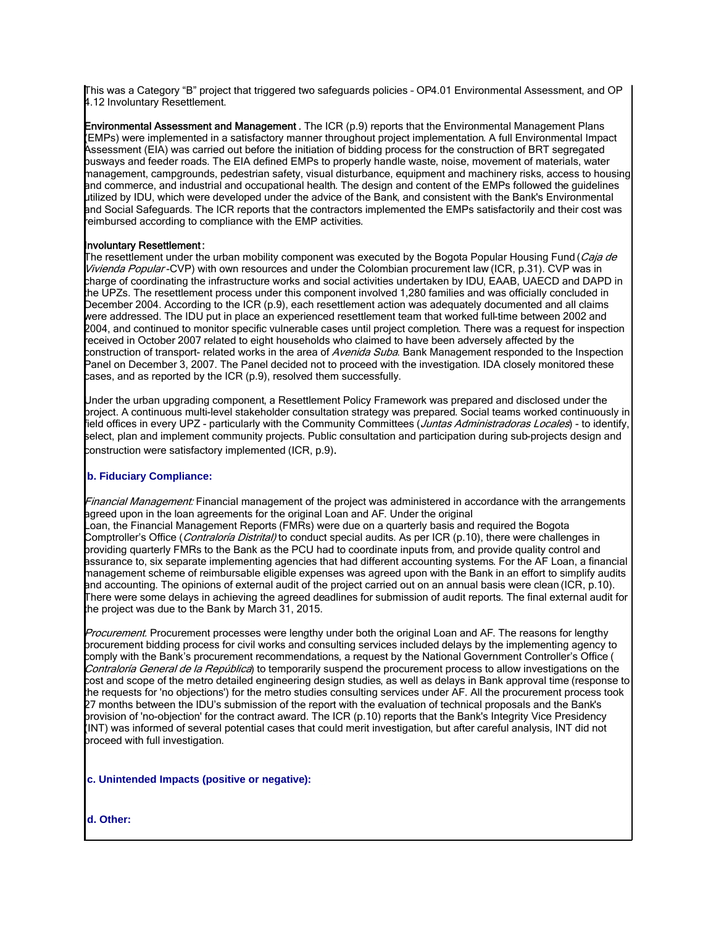This was a Category "B" project that triggered two safeguards policies – OP4.01 Environmental Assessment, and OP 4.12 Involuntary Resettlement.

**Environmental Assessment and Management**. The ICR (p.9) reports that the Environmental Management Plans (EMPs) were implemented in a satisfactory manner throughout project implementation. A full Environmental Impact Assessment (EIA) was carried out before the initiation of bidding process for the construction of BRT segregated busways and feeder roads. The EIA defined EMPs to properly handle waste, noise, movement of materials, water management, campgrounds, pedestrian safety, visual disturbance, equipment and machinery risks, access to housing and commerce, and industrial and occupational health. The design and content of the EMPs followed the guidelines utilized by IDU, which were developed under the advice of the Bank, and consistent with the Bank's Environmental and Social Safeguards. The ICR reports that the contractors implemented the EMPs satisfactorily and their cost was reimbursed according to compliance with the EMP activities.

#### Involuntary Resettlement :

The resettlement under the urban mobility component was executed by the Bogota Popular Housing Fund (*Caja de* Vivienda Popular-CVP) with own resources and under the Colombian procurement law (ICR, p.31). CVP was in charge of coordinating the infrastructure works and social activities undertaken by IDU, EAAB, UAECD and DAPD in the UPZs. The resettlement process under this component involved 1,280 families and was officially concluded in December 2004. According to the ICR (p.9), each resettlement action was adequately documented and all claims were addressed. The IDU put in place an experienced resettlement team that worked full-time between 2002 and 2004, and continued to monitor specific vulnerable cases until project completion. There was a request for inspection received in October 2007 related to eight households who claimed to have been adversely affected by the construction of transport- related works in the area of *Avenida Suba*. Bank Management responded to the Inspection Panel on December 3, 2007. The Panel decided not to proceed with the investigation. IDA closely monitored these cases, and as reported by the ICR (p.9), resolved them successfully.

Under the urban upgrading component, a Resettlement Policy Framework was prepared and disclosed under the project. A continuous multi-level stakeholder consultation strategy was prepared. Social teams worked continuously in field offices in every UPZ - particularly with the Community Committees (*Juntas Administradoras Locales*) - to identify, select, plan and implement community projects. Public consultation and participation during sub-projects design and construction were satisfactory implemented (ICR, p.9).

## **b. Fiduciary Compliance:**

Financial Management: Financial management of the project was administered in accordance with the arrangements agreed upon in the loan agreements for the original Loan and AF. Under the original Loan, the Financial Management Reports (FMRs) were due on a quarterly basis and required the Bogota Comptroller's Office (*Contraloría Distrital)* to conduct special audits. As per ICR (p.10), there were challenges in providing quarterly FMRs to the Bank as the PCU had to coordinate inputs from, and provide quality control and assurance to, six separate implementing agencies that had different accounting systems. For the AF Loan, a financial management scheme of reimbursable eligible expenses was agreed upon with the Bank in an effort to simplify audits and accounting. The opinions of external audit of the project carried out on an annual basis were clean (ICR, p.10). There were some delays in achieving the agreed deadlines for submission of audit reports. The final external audit for the project was due to the Bank by March 31, 2015.

Procurement. Procurement processes were lengthy under both the original Loan and AF. The reasons for lengthy procurement bidding process for civil works and consulting services included delays by the implementing agency to comply with the Bank's procurement recommendations, a request by the National Government Controller's Office ( Contraloría General de la República) to temporarily suspend the procurement process to allow investigations on the cost and scope of the metro detailed engineering design studies, as well as delays in Bank approval time (response to the requests for 'no objections') for the metro studies consulting services under AF. All the procurement process took 27 months between the IDU's submission of the report with the evaluation of technical proposals and the Bank's provision of 'no-objection' for the contract award. The ICR (p.10) reports that the Bank's Integrity Vice Presidency (INT) was informed of several potential cases that could merit investigation, but after careful analysis, INT did not proceed with full investigation.

 **c. Unintended Impacts (positive or negative):**

 **d. Other:**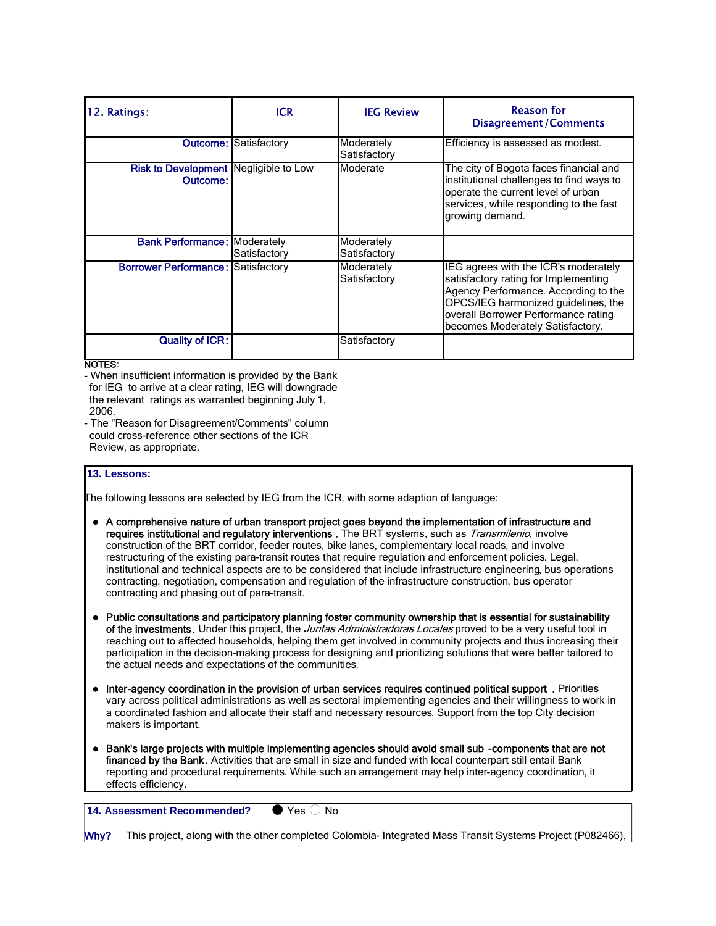| 12. Ratings:                                        | <b>ICR</b>                   | <b>IEG Review</b>          | <b>Reason for</b><br><b>Disagreement/Comments</b>                                                                                                                                                                                      |
|-----------------------------------------------------|------------------------------|----------------------------|----------------------------------------------------------------------------------------------------------------------------------------------------------------------------------------------------------------------------------------|
|                                                     | <b>Outcome: Satisfactory</b> | Moderately<br>Satisfactory | Efficiency is assessed as modest.                                                                                                                                                                                                      |
| Risk to Development   Negligible to Low<br>Outcome: |                              | Moderate                   | The city of Bogota faces financial and<br>institutional challenges to find ways to<br>operate the current level of urban<br>services, while responding to the fast<br>growing demand.                                                  |
| <b>Bank Performance: Moderately</b>                 | Satisfactory                 | Moderately<br>Satisfactory |                                                                                                                                                                                                                                        |
| <b>Borrower Performance: Satisfactory</b>           |                              | Moderately<br>Satisfactory | IEG agrees with the ICR's moderately<br>satisfactory rating for Implementing<br>Agency Performance. According to the<br>OPCS/IEG harmonized guidelines, the<br>overall Borrower Performance rating<br>becomes Moderately Satisfactory. |
| <b>Quality of ICR:</b>                              |                              | Satisfactory               |                                                                                                                                                                                                                                        |

NOTES:

- When insufficient information is provided by the Bank for IEG to arrive at a clear rating, IEG will downgrade the relevant ratings as warranted beginning July 1, 2006.

- The "Reason for Disagreement/Comments" column could cross-reference other sections of the ICR Review, as appropriate.

## **13. Lessons:**

I

The following lessons are selected by IEG from the ICR, with some adaption of language:

- A comprehensive nature of urban transport project goes beyond the implementation of infrastructure and requires institutional and regulatory interventions . The BRT systems, such as *Transmilenio*, involve construction of the BRT corridor, feeder routes, bike lanes, complementary local roads, and involve restructuring of the existing para-transit routes that require regulation and enforcement policies. Legal, institutional and technical aspects are to be considered that include infrastructure engineering, bus operations contracting, negotiation, compensation and regulation of the infrastructure construction, bus operator contracting and phasing out of para-transit.
- Public consultations and participatory planning foster community ownership that is essential for sustainability of the investments. Under this project, the Juntas Administradoras Locales proved to be a very useful tool in reaching out to affected households, helping them get involved in community projects and thus increasing their participation in the decision-making process for designing and prioritizing solutions that were better tailored to the actual needs and expectations of the communities.
- Inter-agency coordination in the provision of urban services requires continued political support . Priorities vary across political administrations as well as sectoral implementing agencies and their willingness to work in a coordinated fashion and allocate their staff and necessary resources. Support from the top City decision makers is important.
- Bank's large projects with multiple implementing agencies should avoid small sub -components that are not financed by the Bank. Activities that are small in size and funded with local counterpart still entail Bank reporting and procedural requirements. While such an arrangement may help inter-agency coordination, it effects efficiency.

**14. Assessment Recommended?** • Yes  $\bigcirc$  No

Why? This project, along with the other completed Colombia- Integrated Mass Transit Systems Project (P082466),